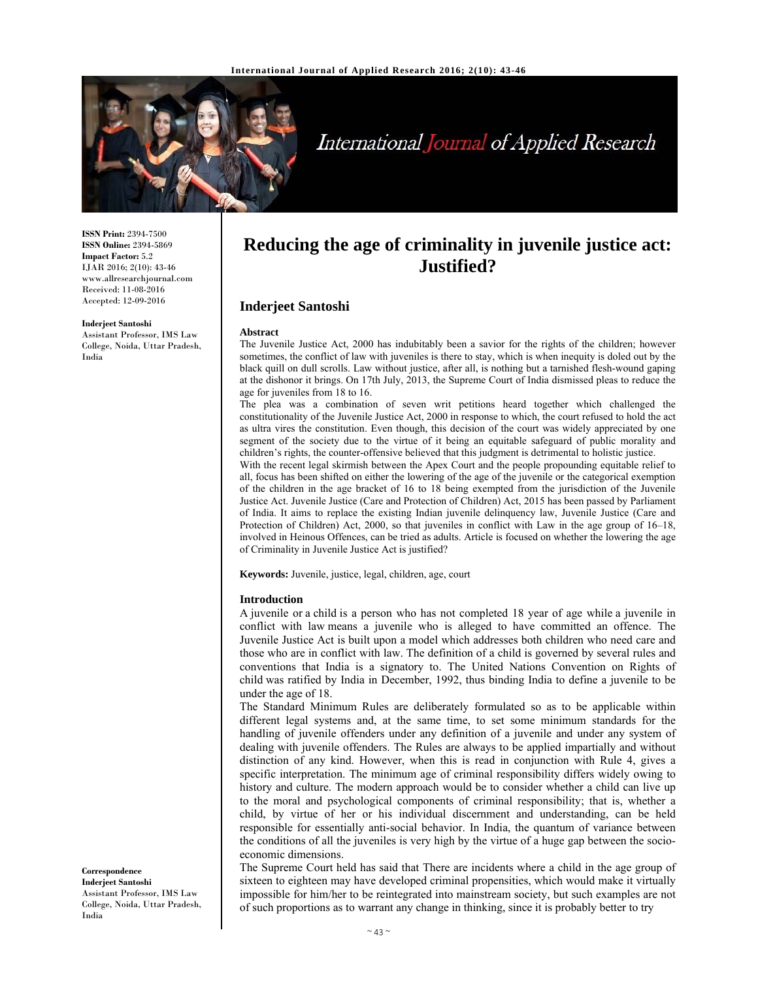

# International Journal of Applied Research

**ISSN Print:** 2394-7500 **ISSN Online:** 2394-5869 **Impact Factor:** 5.2 IJAR 2016; 2(10): 43-46 www.allresearchjournal.com Received: 11-08-2016 Accepted: 12-09-2016

#### **Inderjeet Santoshi**

Assistant Professor, IMS Law College, Noida, Uttar Pradesh, India

# **Reducing the age of criminality in juvenile justice act: Justified?**

## **Inderjeet Santoshi**

#### **Abstract**

The Juvenile Justice Act, 2000 has indubitably been a savior for the rights of the children; however sometimes, the conflict of law with juveniles is there to stay, which is when inequity is doled out by the black quill on dull scrolls. Law without justice, after all, is nothing but a tarnished flesh-wound gaping at the dishonor it brings. On 17th July, 2013, the Supreme Court of India dismissed pleas to reduce the age for juveniles from 18 to 16.

The plea was a combination of seven writ petitions heard together which challenged the constitutionality of the Juvenile Justice Act, 2000 in response to which, the court refused to hold the act as ultra vires the constitution. Even though, this decision of the court was widely appreciated by one segment of the society due to the virtue of it being an equitable safeguard of public morality and children's rights, the counter-offensive believed that this judgment is detrimental to holistic justice.

With the recent legal skirmish between the Apex Court and the people propounding equitable relief to all, focus has been shifted on either the lowering of the age of the juvenile or the categorical exemption of the children in the age bracket of 16 to 18 being exempted from the jurisdiction of the Juvenile Justice Act. Juvenile Justice (Care and Protection of Children) Act, 2015 has been passed by Parliament of India. It aims to replace the existing Indian juvenile delinquency law, Juvenile Justice (Care and Protection of Children) Act, 2000, so that juveniles in conflict with Law in the age group of 16–18, involved in Heinous Offences, can be tried as adults. Article is focused on whether the lowering the age of Criminality in Juvenile Justice Act is justified?

**Keywords:** Juvenile, justice, legal, children, age, court

#### **Introduction**

A juvenile or a child is a person who has not completed 18 year of age while a juvenile in conflict with law means a juvenile who is alleged to have committed an offence. The Juvenile Justice Act is built upon a model which addresses both children who need care and those who are in conflict with law. The definition of a child is governed by several rules and conventions that India is a signatory to. The United Nations Convention on Rights of child was ratified by India in December, 1992, thus binding India to define a juvenile to be under the age of 18.

The Standard Minimum Rules are deliberately formulated so as to be applicable within different legal systems and, at the same time, to set some minimum standards for the handling of juvenile offenders under any definition of a juvenile and under any system of dealing with juvenile offenders. The Rules are always to be applied impartially and without distinction of any kind. However, when this is read in conjunction with Rule 4, gives a specific interpretation. The minimum age of criminal responsibility differs widely owing to history and culture. The modern approach would be to consider whether a child can live up to the moral and psychological components of criminal responsibility; that is, whether a child, by virtue of her or his individual discernment and understanding, can be held responsible for essentially anti-social behavior. In India, the quantum of variance between the conditions of all the juveniles is very high by the virtue of a huge gap between the socioeconomic dimensions.

The Supreme Court held has said that There are incidents where a child in the age group of sixteen to eighteen may have developed criminal propensities, which would make it virtually impossible for him/her to be reintegrated into mainstream society, but such examples are not of such proportions as to warrant any change in thinking, since it is probably better to try

**Correspondence Inderjeet Santoshi**  Assistant Professor, IMS Law College, Noida, Uttar Pradesh, India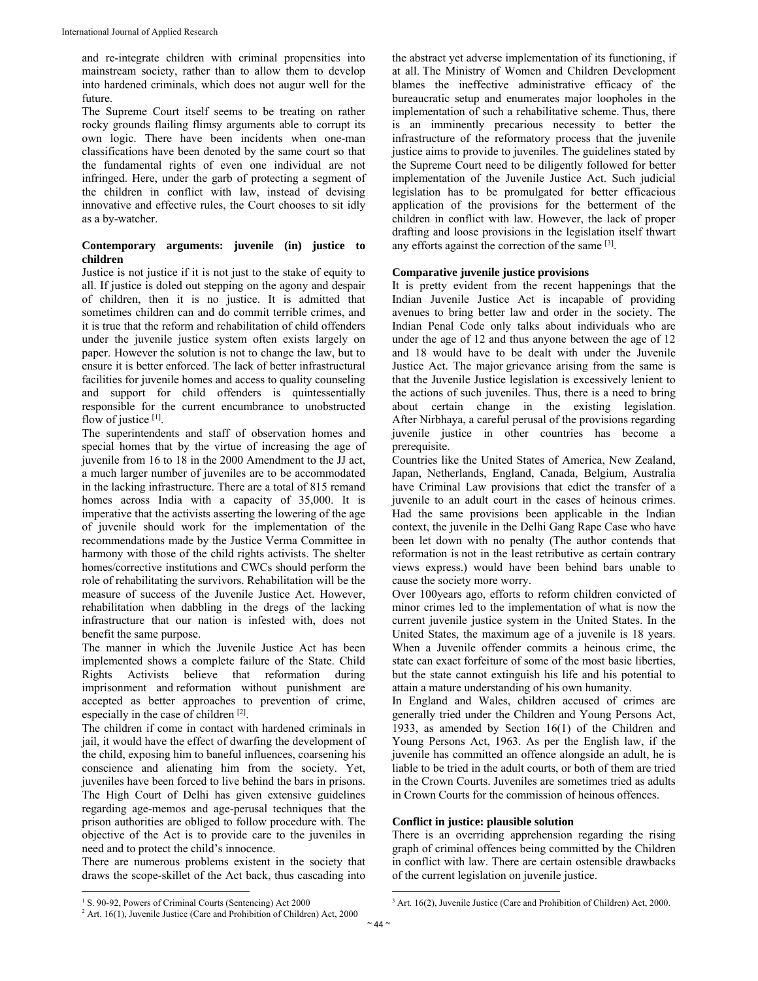and re-integrate children with criminal propensities into mainstream society, rather than to allow them to develop into hardened criminals, which does not augur well for the future.

The Supreme Court itself seems to be treating on rather rocky grounds flailing flimsy arguments able to corrupt its own logic. There have been incidents when one-man classifications have been denoted by the same court so that the fundamental rights of even one individual are not infringed. Here, under the garb of protecting a segment of the children in conflict with law, instead of devising innovative and effective rules, the Court chooses to sit idly as a by-watcher.

# **Contemporary arguments: juvenile (in) justice to children**

Justice is not justice if it is not just to the stake of equity to all. If justice is doled out stepping on the agony and despair of children, then it is no justice. It is admitted that sometimes children can and do commit terrible crimes, and it is true that the reform and rehabilitation of child offenders under the juvenile justice system often exists largely on paper. However the solution is not to change the law, but to ensure it is better enforced. The lack of better infrastructural facilities for juvenile homes and access to quality counseling and support for child offenders is quintessentially responsible for the current encumbrance to unobstructed flow of justice [1].

The superintendents and staff of observation homes and special homes that by the virtue of increasing the age of juvenile from 16 to 18 in the 2000 Amendment to the JJ act, a much larger number of juveniles are to be accommodated in the lacking infrastructure. There are a total of 815 remand homes across India with a capacity of 35,000. It is imperative that the activists asserting the lowering of the age of juvenile should work for the implementation of the recommendations made by the Justice Verma Committee in harmony with those of the child rights activists. The shelter homes/corrective institutions and CWCs should perform the role of rehabilitating the survivors. Rehabilitation will be the measure of success of the Juvenile Justice Act. However, rehabilitation when dabbling in the dregs of the lacking infrastructure that our nation is infested with, does not benefit the same purpose.

The manner in which the Juvenile Justice Act has been implemented shows a complete failure of the State. Child Rights Activists believe that reformation during imprisonment and reformation without punishment are accepted as better approaches to prevention of crime, especially in the case of children [2].

The children if come in contact with hardened criminals in jail, it would have the effect of dwarfing the development of the child, exposing him to baneful influences, coarsening his conscience and alienating him from the society. Yet, juveniles have been forced to live behind the bars in prisons. The High Court of Delhi has given extensive guidelines regarding age-memos and age-perusal techniques that the prison authorities are obliged to follow procedure with. The objective of the Act is to provide care to the juveniles in need and to protect the child's innocence.

There are numerous problems existent in the society that draws the scope-skillet of the Act back, thus cascading into the abstract yet adverse implementation of its functioning, if at all. The Ministry of Women and Children Development blames the ineffective administrative efficacy of the bureaucratic setup and enumerates major loopholes in the implementation of such a rehabilitative scheme. Thus, there is an imminently precarious necessity to better the infrastructure of the reformatory process that the juvenile justice aims to provide to juveniles. The guidelines stated by the Supreme Court need to be diligently followed for better implementation of the Juvenile Justice Act. Such judicial legislation has to be promulgated for better efficacious application of the provisions for the betterment of the children in conflict with law. However, the lack of proper drafting and loose provisions in the legislation itself thwart any efforts against the correction of the same [3].

### **Comparative juvenile justice provisions**

It is pretty evident from the recent happenings that the Indian Juvenile Justice Act is incapable of providing avenues to bring better law and order in the society. The Indian Penal Code only talks about individuals who are under the age of 12 and thus anyone between the age of 12 and 18 would have to be dealt with under the Juvenile Justice Act. The major grievance arising from the same is that the Juvenile Justice legislation is excessively lenient to the actions of such juveniles. Thus, there is a need to bring about certain change in the existing legislation. After Nirbhaya, a careful perusal of the provisions regarding juvenile justice in other countries has become a prerequisite.

Countries like the United States of America, New Zealand, Japan, Netherlands, England, Canada, Belgium, Australia have Criminal Law provisions that edict the transfer of a juvenile to an adult court in the cases of heinous crimes. Had the same provisions been applicable in the Indian context, the juvenile in the Delhi Gang Rape Case who have been let down with no penalty (The author contends that reformation is not in the least retributive as certain contrary views express.) would have been behind bars unable to cause the society more worry.

Over 100years ago, efforts to reform children convicted of minor crimes led to the implementation of what is now the current juvenile justice system in the United States. In the United States, the maximum age of a juvenile is 18 years. When a Juvenile offender commits a heinous crime, the state can exact forfeiture of some of the most basic liberties, but the state cannot extinguish his life and his potential to attain a mature understanding of his own humanity.

In England and Wales, children accused of crimes are generally tried under the Children and Young Persons Act, 1933, as amended by Section 16(1) of the Children and Young Persons Act, 1963. As per the English law, if the juvenile has committed an offence alongside an adult, he is liable to be tried in the adult courts, or both of them are tried in the Crown Courts. Juveniles are sometimes tried as adults in Crown Courts for the commission of heinous offences.

### **Conflict in justice: plausible solution**

There is an overriding apprehension regarding the rising graph of criminal offences being committed by the Children in conflict with law. There are certain ostensible drawbacks of the current legislation on juvenile justice.

<sup>&</sup>lt;sup>1</sup> S. 90-92, Powers of Criminal Courts (Sentencing) Act 2000

<sup>&</sup>lt;sup>2</sup> Art. 16(1), Juvenile Justice (Care and Prohibition of Children) Act, 2000

<sup>&</sup>lt;sup>3</sup> Art. 16(2), Juvenile Justice (Care and Prohibition of Children) Act, 2000.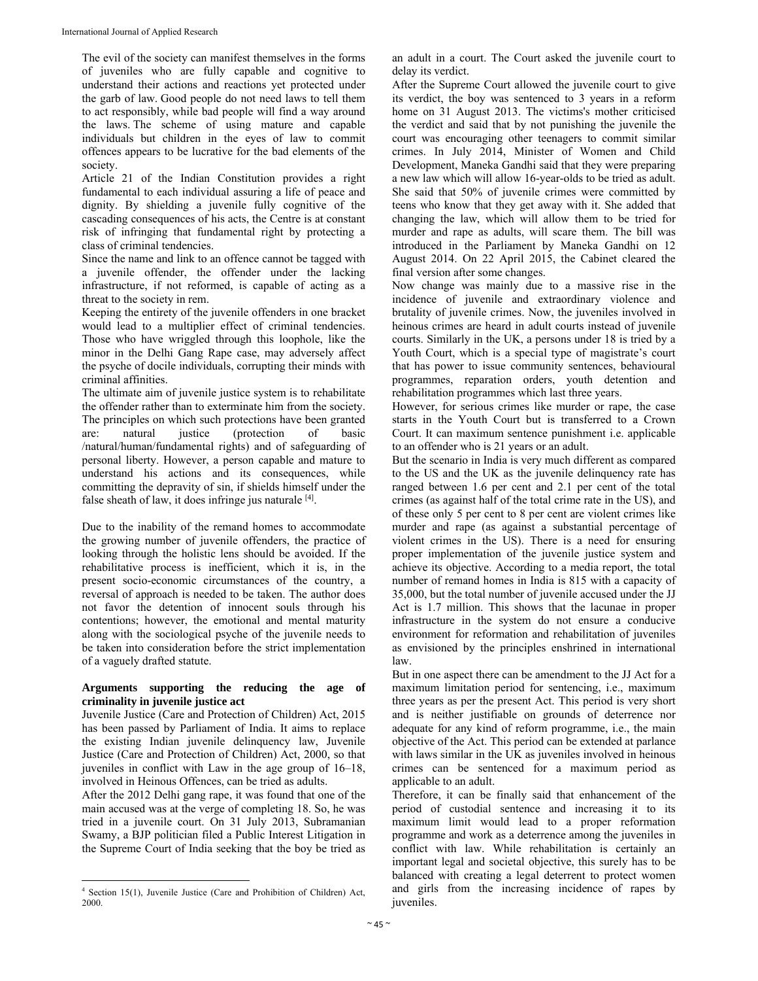The evil of the society can manifest themselves in the forms of juveniles who are fully capable and cognitive to understand their actions and reactions yet protected under the garb of law. Good people do not need laws to tell them to act responsibly, while bad people will find a way around the laws. The scheme of using mature and capable individuals but children in the eyes of law to commit offences appears to be lucrative for the bad elements of the society.

Article 21 of the Indian Constitution provides a right fundamental to each individual assuring a life of peace and dignity. By shielding a juvenile fully cognitive of the cascading consequences of his acts, the Centre is at constant risk of infringing that fundamental right by protecting a class of criminal tendencies.

Since the name and link to an offence cannot be tagged with a juvenile offender, the offender under the lacking infrastructure, if not reformed, is capable of acting as a threat to the society in rem.

Keeping the entirety of the juvenile offenders in one bracket would lead to a multiplier effect of criminal tendencies. Those who have wriggled through this loophole, like the minor in the Delhi Gang Rape case, may adversely affect the psyche of docile individuals, corrupting their minds with criminal affinities.

The ultimate aim of juvenile justice system is to rehabilitate the offender rather than to exterminate him from the society. The principles on which such protections have been granted are: natural justice (protection of basic /natural/human/fundamental rights) and of safeguarding of personal liberty. However, a person capable and mature to understand his actions and its consequences, while committing the depravity of sin, if shields himself under the false sheath of law, it does infringe jus naturale  $[4]$ .

Due to the inability of the remand homes to accommodate the growing number of juvenile offenders, the practice of looking through the holistic lens should be avoided. If the rehabilitative process is inefficient, which it is, in the present socio-economic circumstances of the country, a reversal of approach is needed to be taken. The author does not favor the detention of innocent souls through his contentions; however, the emotional and mental maturity along with the sociological psyche of the juvenile needs to be taken into consideration before the strict implementation of a vaguely drafted statute.

#### **Arguments supporting the reducing the age of criminality in juvenile justice act**

Juvenile Justice (Care and Protection of Children) Act, 2015 has been passed by Parliament of India. It aims to replace the existing Indian juvenile delinquency law, Juvenile Justice (Care and Protection of Children) Act, 2000, so that juveniles in conflict with Law in the age group of 16–18, involved in Heinous Offences, can be tried as adults.

After the 2012 Delhi gang rape, it was found that one of the main accused was at the verge of completing 18. So, he was tried in a juvenile court. On 31 July 2013, Subramanian Swamy, a BJP politician filed a Public Interest Litigation in the Supreme Court of India seeking that the boy be tried as

an adult in a court. The Court asked the juvenile court to delay its verdict.

After the Supreme Court allowed the juvenile court to give its verdict, the boy was sentenced to 3 years in a reform home on 31 August 2013. The victims's mother criticised the verdict and said that by not punishing the juvenile the court was encouraging other teenagers to commit similar crimes. In July 2014, Minister of Women and Child Development, Maneka Gandhi said that they were preparing a new law which will allow 16-year-olds to be tried as adult. She said that 50% of juvenile crimes were committed by teens who know that they get away with it. She added that changing the law, which will allow them to be tried for murder and rape as adults, will scare them. The bill was introduced in the Parliament by Maneka Gandhi on 12 August 2014. On 22 April 2015, the Cabinet cleared the final version after some changes.

Now change was mainly due to a massive rise in the incidence of juvenile and extraordinary violence and brutality of juvenile crimes. Now, the juveniles involved in heinous crimes are heard in adult courts instead of juvenile courts. Similarly in the UK, a persons under 18 is tried by a Youth Court, which is a special type of magistrate's court that has power to issue community sentences, behavioural programmes, reparation orders, youth detention and rehabilitation programmes which last three years.

However, for serious crimes like murder or rape, the case starts in the Youth Court but is transferred to a Crown Court. It can maximum sentence punishment i.e. applicable to an offender who is 21 years or an adult.

But the scenario in India is very much different as compared to the US and the UK as the juvenile delinquency rate has ranged between 1.6 per cent and 2.1 per cent of the total crimes (as against half of the total crime rate in the US), and of these only 5 per cent to 8 per cent are violent crimes like murder and rape (as against a substantial percentage of violent crimes in the US). There is a need for ensuring proper implementation of the juvenile justice system and achieve its objective. According to a media report, the total number of remand homes in India is 815 with a capacity of 35,000, but the total number of juvenile accused under the JJ Act is 1.7 million. This shows that the lacunae in proper infrastructure in the system do not ensure a conducive environment for reformation and rehabilitation of juveniles as envisioned by the principles enshrined in international law.

But in one aspect there can be amendment to the JJ Act for a maximum limitation period for sentencing, i.e., maximum three years as per the present Act. This period is very short and is neither justifiable on grounds of deterrence nor adequate for any kind of reform programme, i.e., the main objective of the Act. This period can be extended at parlance with laws similar in the UK as juveniles involved in heinous crimes can be sentenced for a maximum period as applicable to an adult.

Therefore, it can be finally said that enhancement of the period of custodial sentence and increasing it to its maximum limit would lead to a proper reformation programme and work as a deterrence among the juveniles in conflict with law. While rehabilitation is certainly an important legal and societal objective, this surely has to be balanced with creating a legal deterrent to protect women and girls from the increasing incidence of rapes by iuveniles.

 4 Section 15(1), Juvenile Justice (Care and Prohibition of Children) Act, 2000.